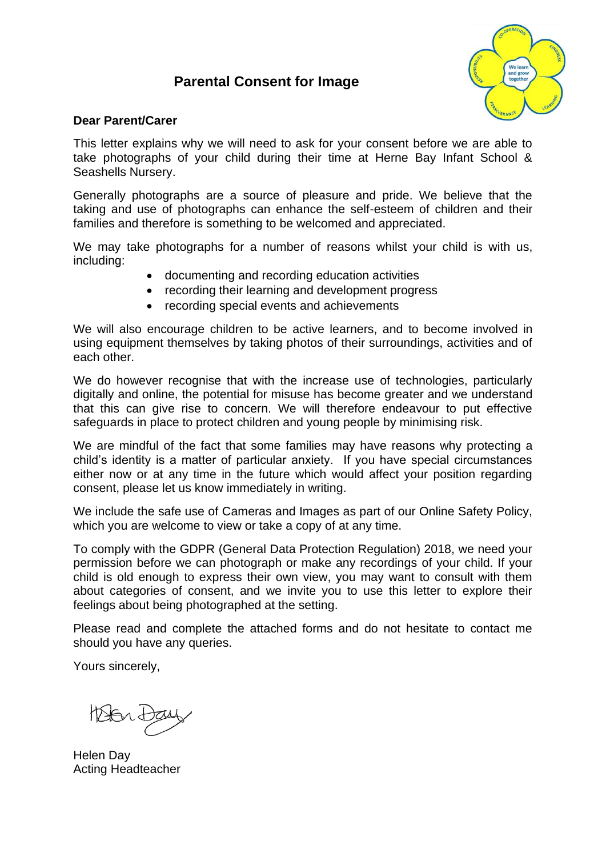# **Parental Consent for Image**



#### **Dear Parent/Carer**

This letter explains why we will need to ask for your consent before we are able to take photographs of your child during their time at Herne Bay Infant School & Seashells Nursery.

Generally photographs are a source of pleasure and pride. We believe that the taking and use of photographs can enhance the self-esteem of children and their families and therefore is something to be welcomed and appreciated.

We may take photographs for a number of reasons whilst your child is with us, including:

- documenting and recording education activities
- recording their learning and development progress
- recording special events and achievements

We will also encourage children to be active learners, and to become involved in using equipment themselves by taking photos of their surroundings, activities and of each other.

We do however recognise that with the increase use of technologies, particularly digitally and online, the potential for misuse has become greater and we understand that this can give rise to concern. We will therefore endeavour to put effective safeguards in place to protect children and young people by minimising risk.

We are mindful of the fact that some families may have reasons why protecting a child's identity is a matter of particular anxiety. If you have special circumstances either now or at any time in the future which would affect your position regarding consent, please let us know immediately in writing.

We include the safe use of Cameras and Images as part of our Online Safety Policy, which you are welcome to view or take a copy of at any time.

To comply with the GDPR (General Data Protection Regulation) 2018, we need your permission before we can photograph or make any recordings of your child. If your child is old enough to express their own view, you may want to consult with them about categories of consent, and we invite you to use this letter to explore their feelings about being photographed at the setting.

Please read and complete the attached forms and do not hesitate to contact me should you have any queries.

Yours sincerely,

Helen Day Acting Headteacher